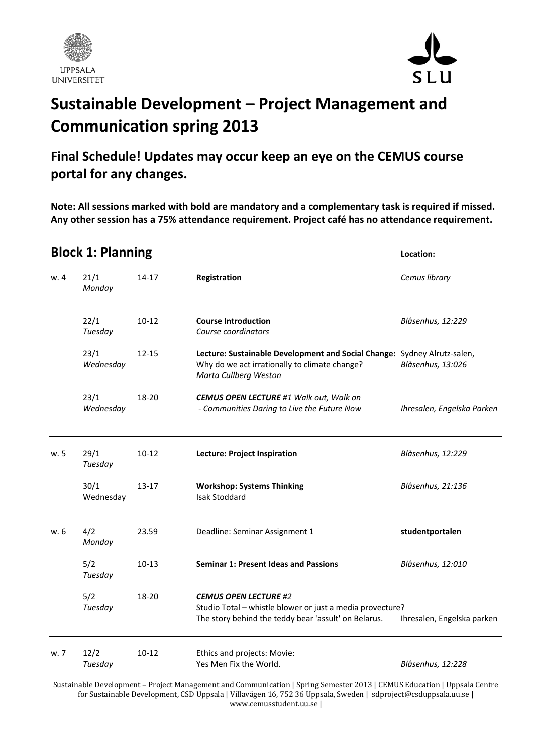



## **Sustainable Development – Project Management and Communication spring 2013**

## **Final Schedule! Updates may occur keep an eye on the CEMUS course portal for any changes.**

**Note: All sessions marked with bold are mandatory and a complementary task is required if missed. Any other session has a 75% attendance requirement. Project café has no attendance requirement.**

| <b>Block 1: Planning</b> |                   |           |                                                                                                                                                    | Location:                  |  |
|--------------------------|-------------------|-----------|----------------------------------------------------------------------------------------------------------------------------------------------------|----------------------------|--|
| w. 4                     | 21/1<br>Monday    | 14-17     | Registration                                                                                                                                       | Cemus library              |  |
|                          | 22/1<br>Tuesday   | $10 - 12$ | <b>Course Introduction</b><br>Course coordinators                                                                                                  | Blåsenhus, 12:229          |  |
|                          | 23/1<br>Wednesday | $12 - 15$ | Lecture: Sustainable Development and Social Change: Sydney Alrutz-salen,<br>Why do we act irrationally to climate change?<br>Marta Cullberg Weston | Blåsenhus, 13:026          |  |
|                          | 23/1<br>Wednesday | 18-20     | <b>CEMUS OPEN LECTURE #1 Walk out, Walk on</b><br>- Communities Daring to Live the Future Now                                                      | Ihresalen, Engelska Parken |  |
| w. 5                     | 29/1<br>Tuesday   | $10-12$   | <b>Lecture: Project Inspiration</b>                                                                                                                | Blåsenhus, 12:229          |  |
|                          | 30/1<br>Wednesday | $13 - 17$ | <b>Workshop: Systems Thinking</b><br><b>Isak Stoddard</b>                                                                                          | Blåsenhus, 21:136          |  |
| w. 6                     | 4/2<br>Monday     | 23.59     | Deadline: Seminar Assignment 1                                                                                                                     | studentportalen            |  |
|                          | 5/2<br>Tuesday    | $10-13$   | <b>Seminar 1: Present Ideas and Passions</b>                                                                                                       | Blåsenhus, 12:010          |  |
|                          | 5/2<br>Tuesday    | 18-20     | <b>CEMUS OPEN LECTURE #2</b><br>Studio Total - whistle blower or just a media provecture?<br>The story behind the teddy bear 'assult' on Belarus.  | Ihresalen, Engelska parken |  |
| w. 7                     | 12/2<br>Tuesday   | $10-12$   | Ethics and projects: Movie:<br>Yes Men Fix the World.                                                                                              | Blåsenhus, 12:228          |  |

Sustainable Development – Project Management and Communication | Spring Semester 2013 | CEMUS Education | Uppsala Centre for Sustainable Development, CSD Uppsala | Villavägen 16, 752 36 Uppsala, Sweden | sdproject@csduppsala.uu.se | www.cemusstudent.uu.se |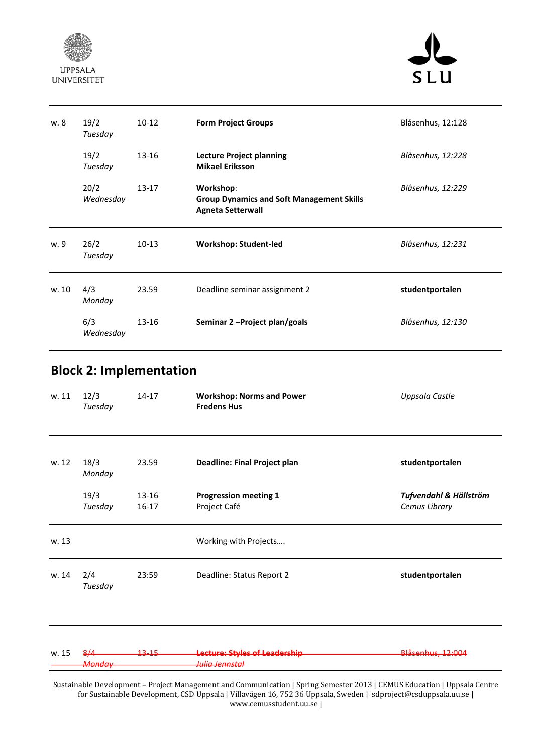



| w. 8  | 19/2<br>Tuesday   | $10-12$   | <b>Form Project Groups</b>                                                                | Blåsenhus, 12:128 |
|-------|-------------------|-----------|-------------------------------------------------------------------------------------------|-------------------|
|       | 19/2<br>Tuesday   | 13-16     | <b>Lecture Project planning</b><br><b>Mikael Eriksson</b>                                 | Blåsenhus, 12:228 |
|       | 20/2<br>Wednesday | $13 - 17$ | Workshop:<br><b>Group Dynamics and Soft Management Skills</b><br><b>Agneta Setterwall</b> | Blåsenhus, 12:229 |
|       |                   |           |                                                                                           |                   |
| w. 9  | 26/2<br>Tuesday   | $10-13$   | <b>Workshop: Student-led</b>                                                              | Blåsenhus, 12:231 |
| w. 10 | 4/3<br>Monday     | 23.59     | Deadline seminar assignment 2                                                             | studentportalen   |

## **Block 2: Implementation**

| w. 11 | 12/3<br>Tuesday          | $14 - 17$         | <b>Workshop: Norms and Power</b><br><b>Fredens Hus</b>     | Uppsala Castle                          |
|-------|--------------------------|-------------------|------------------------------------------------------------|-----------------------------------------|
| w. 12 | 18/3<br>Monday           | 23.59             | <b>Deadline: Final Project plan</b>                        | studentportalen                         |
|       | 19/3<br>Tuesday          | 13-16<br>$16-17$  | <b>Progression meeting 1</b><br>Project Café               | Tufvendahl & Hällström<br>Cemus Library |
| w. 13 |                          |                   | Working with Projects                                      |                                         |
| w. 14 | 2/4<br>Tuesday           | 23:59             | Deadline: Status Report 2                                  | studentportalen                         |
| w. 15 | 8/4<br><del>Mondav</del> | <del>13-15-</del> | Lecture: Styles of Leadership<br><del>Julia Jennstal</del> | Blåsenhus, 12:004                       |

Sustainable Development – Project Management and Communication | Spring Semester 2013 | CEMUS Education | Uppsala Centre for Sustainable Development, CSD Uppsala | Villavägen 16, 752 36 Uppsala, Sweden | sdproject@csduppsala.uu.se | www.cemusstudent.uu.se |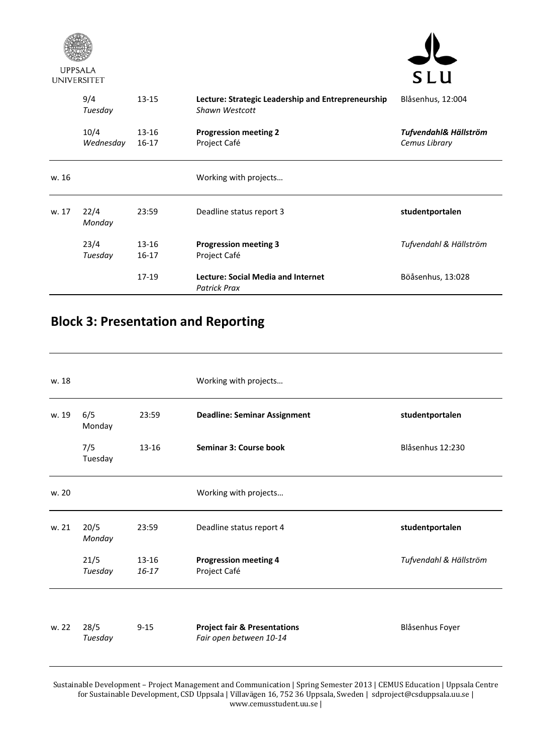

**UPPSALA** 



|       | 9/4<br>$13 - 15$<br>Tuesday |                    | Lecture: Strategic Leadership and Entrepreneurship<br>Shawn Westcott | Blåsenhus, 12:004                      |
|-------|-----------------------------|--------------------|----------------------------------------------------------------------|----------------------------------------|
|       | 10/4<br>Wednesday           | $13 - 16$<br>16-17 | <b>Progression meeting 2</b><br>Project Café                         | Tufvendahl& Hällström<br>Cemus Library |
| w. 16 |                             |                    | Working with projects                                                |                                        |
| w. 17 | 22/4<br>Monday              | 23:59              | Deadline status report 3                                             | studentportalen                        |
|       | 23/4<br>Tuesday             | 13-16<br>$16 - 17$ | <b>Progression meeting 3</b><br>Project Café                         | Tufvendahl & Hällström                 |
|       |                             | $17-19$            | Lecture: Social Media and Internet<br><b>Patrick Prax</b>            | Böåsenhus, 13:028                      |

## **Block 3: Presentation and Reporting**

| w. 18 |                 |                        | Working with projects                                              |                        |
|-------|-----------------|------------------------|--------------------------------------------------------------------|------------------------|
| w. 19 | 6/5<br>Monday   | 23:59                  | <b>Deadline: Seminar Assignment</b>                                | studentportalen        |
|       | 7/5<br>Tuesday  | $13 - 16$              | Seminar 3: Course book                                             | Blåsenhus 12:230       |
| w. 20 |                 |                        | Working with projects                                              |                        |
| w. 21 | 20/5<br>Monday  | 23:59                  | Deadline status report 4                                           | studentportalen        |
|       | 21/5<br>Tuesday | $13 - 16$<br>$16 - 17$ | <b>Progression meeting 4</b><br>Project Café                       | Tufvendahl & Hällström |
| w. 22 | 28/5<br>Tuesday | $9 - 15$               | <b>Project fair &amp; Presentations</b><br>Fair open between 10-14 | Blåsenhus Foyer        |

Sustainable Development – Project Management and Communication | Spring Semester 2013 | CEMUS Education | Uppsala Centre for Sustainable Development, CSD Uppsala | Villavägen 16, 752 36 Uppsala, Sweden | sdproject@csduppsala.uu.se | www.cemusstudent.uu.se |